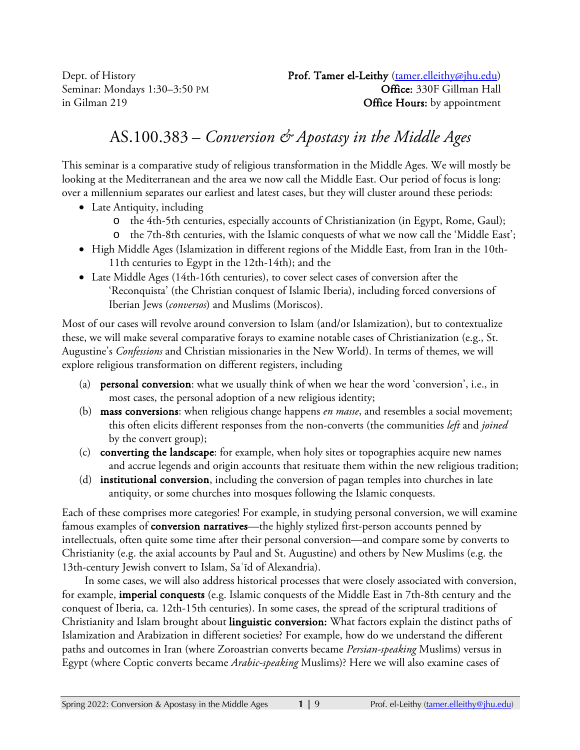# AS.100.383 – *Conversion & Apostasy in the Middle Ages*

This seminar is a comparative study of religious transformation in the Middle Ages. We will mostly be looking at the Mediterranean and the area we now call the Middle East. Our period of focus is long: over a millennium separates our earliest and latest cases, but they will cluster around these periods:

- Late Antiquity, including
	- o the 4th-5th centuries, especially accounts of Christianization (in Egypt, Rome, Gaul);
	- o the 7th-8th centuries, with the Islamic conquests of what we now call the 'Middle East';
- High Middle Ages (Islamization in different regions of the Middle East, from Iran in the 10th-11th centuries to Egypt in the 12th-14th); and the
- Late Middle Ages (14th-16th centuries), to cover select cases of conversion after the 'Reconquista' (the Christian conquest of Islamic Iberia), including forced conversions of Iberian Jews (*conversos*) and Muslims (Moriscos).

Most of our cases will revolve around conversion to Islam (and/or Islamization), but to contextualize these, we will make several comparative forays to examine notable cases of Christianization (e.g., St. Augustine's *Confessions* and Christian missionaries in the New World). In terms of themes, we will explore religious transformation on different registers, including

- (a) personal conversion: what we usually think of when we hear the word 'conversion', i.e., in most cases, the personal adoption of a new religious identity;
- (b) mass conversions: when religious change happens *en masse*, and resembles a social movement; this often elicits different responses from the non-converts (the communities *left* and *joined* by the convert group);
- (c) converting the landscape: for example, when holy sites or topographies acquire new names and accrue legends and origin accounts that resituate them within the new religious tradition;
- (d) institutional conversion, including the conversion of pagan temples into churches in late antiquity, or some churches into mosques following the Islamic conquests.

Each of these comprises more categories! For example, in studying personal conversion, we will examine famous examples of **conversion narratives**—the highly stylized first-person accounts penned by intellectuals, often quite some time after their personal conversion—and compare some by converts to Christianity (e.g. the axial accounts by Paul and St. Augustine) and others by New Muslims (e.g. the 13th-century Jewish convert to Islam, Saʿīd of Alexandria).

In some cases, we will also address historical processes that were closely associated with conversion, for example, imperial conquests (e.g. Islamic conquests of the Middle East in 7th-8th century and the conquest of Iberia, ca. 12th-15th centuries). In some cases, the spread of the scriptural traditions of Christianity and Islam brought about linguistic conversion: What factors explain the distinct paths of Islamization and Arabization in different societies? For example, how do we understand the different paths and outcomes in Iran (where Zoroastrian converts became *Persian-speaking* Muslims) versus in Egypt (where Coptic converts became *Arabic-speaking* Muslims)? Here we will also examine cases of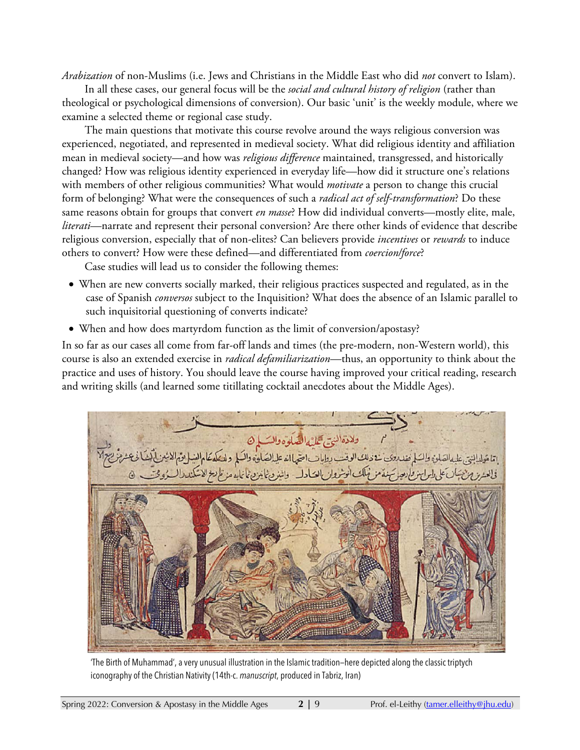*Arabization* of non-Muslims (i.e. Jews and Christians in the Middle East who did *not* convert to Islam).

In all these cases, our general focus will be the *social and cultural history of religion* (rather than theological or psychological dimensions of conversion). Our basic 'unit' is the weekly module, where we examine a selected theme or regional case study.

The main questions that motivate this course revolve around the ways religious conversion was experienced, negotiated, and represented in medieval society. What did religious identity and affiliation mean in medieval society—and how was *religious difference* maintained, transgressed, and historically changed? How was religious identity experienced in everyday life—how did it structure one's relations with members of other religious communities? What would *motivate* a person to change this crucial form of belonging? What were the consequences of such a *radical act of self-transformation*? Do these same reasons obtain for groups that convert *en masse*? How did individual converts—mostly elite, male, *literati*—narrate and represent their personal conversion? Are there other kinds of evidence that describe religious conversion, especially that of non-elites? Can believers provide *incentives* or *rewards* to induce others to convert? How were these defined—and differentiated from *coercion/force*?

Case studies will lead us to consider the following themes:

- When are new converts socially marked, their religious practices suspected and regulated, as in the case of Spanish *conversos* subject to the Inquisition? What does the absence of an Islamic parallel to such inquisitorial questioning of converts indicate?
- When and how does martyrdom function as the limit of conversion/apostasy?

In so far as our cases all come from far-off lands and times (the pre-modern, non-Western world), this course is also an extended exercise in *radical defamiliarization*—thus, an opportunity to think about the practice and uses of history. You should leave the course having improved your critical reading, research and writing skills (and learned some titillating cocktail anecdotes about the Middle Ages).



'The Birth of Muhammad', a very unusual illustration in the Islamic tradition—here depicted along the classic triptych iconography of the Christian Nativity (14th-c. *manuscript*, produced in Tabriz, Iran)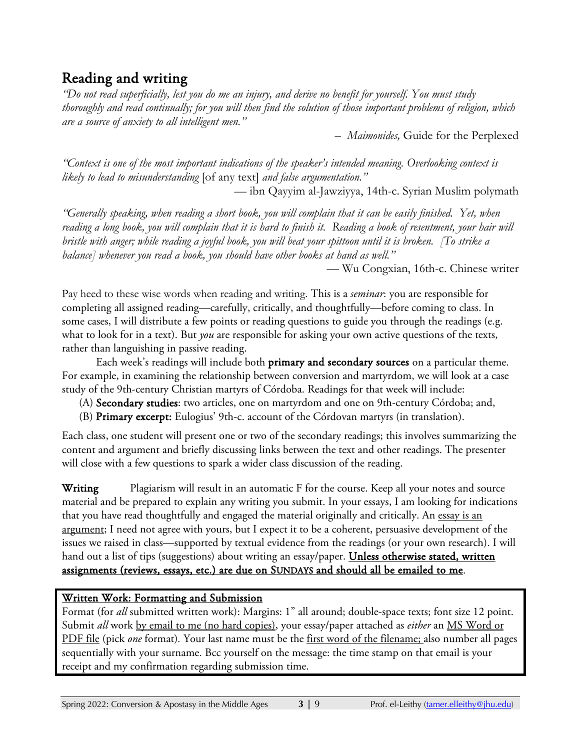# Reading and writing

*"Do not read superficially, lest you do me an injury, and derive no benefit for yourself. You must study thoroughly and read continually; for you will then find the solution of those important problems of religion, which are a source of anxiety to all intelligent men."* 

*– Maimonides,* Guide for the Perplexed

*"Context is one of the most important indications of the speaker's intended meaning. Overlooking context is likely to lead to misunderstanding* [of any text] *and false argumentation."*

— ibn Qayyim al-Jawziyya, 14th-c. Syrian Muslim polymath

*"Generally speaking, when reading a short book, you will complain that it can be easily finished. Yet, when reading a long book, you will complain that it is hard to finish it. Reading a book of resentment, your hair will bristle with anger; while reading a joyful book, you will beat your spittoon until it is broken. [To strike a balance] whenever you read a book, you should have other books at hand as well."*

— Wu Congxian, 16th-c. Chinese writer

Pay heed to these wise words when reading and writing. This is a *seminar*: you are responsible for completing all assigned reading—carefully, critically, and thoughtfully—before coming to class. In some cases, I will distribute a few points or reading questions to guide you through the readings (e.g. what to look for in a text). But *you* are responsible for asking your own active questions of the texts, rather than languishing in passive reading.

 Each week's readings will include both primary and secondary sources on a particular theme. For example, in examining the relationship between conversion and martyrdom, we will look at a case study of the 9th-century Christian martyrs of Córdoba. Readings for that week will include:

- (A) Secondary studies: two articles, one on martyrdom and one on 9th-century Córdoba; and,
- (B) Primary excerpt: Eulogius' 9th-c. account of the Córdovan martyrs (in translation).

Each class, one student will present one or two of the secondary readings; this involves summarizing the content and argument and briefly discussing links between the text and other readings. The presenter will close with a few questions to spark a wider class discussion of the reading.

Writing Plagiarism will result in an automatic F for the course. Keep all your notes and source material and be prepared to explain any writing you submit. In your essays, I am looking for indications that you have read thoughtfully and engaged the material originally and critically. An essay is an argument; I need not agree with yours, but I expect it to be a coherent, persuasive development of the issues we raised in class—supported by textual evidence from the readings (or your own research). I will hand out a list of tips (suggestions) about writing an essay/paper. **Unless otherwise stated, written** assignments (reviews, essays, etc.) are due on SUNDAYS and should all be emailed to me.

### Written Work: Formatting and Submission

Format (for *all* submitted written work): Margins: 1" all around; double-space texts; font size 12 point. Submit *all* work by email to me (no hard copies), your essay/paper attached as *either* an MS Word or PDF file (pick *one* format)*.* Your last name must be the first word of the filename; also number all pages sequentially with your surname. Bcc yourself on the message: the time stamp on that email is your receipt and my confirmation regarding submission time.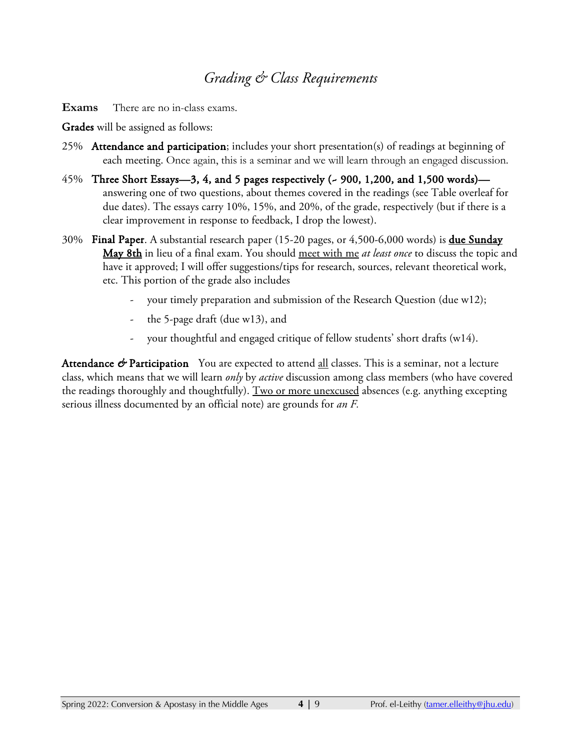### *Grading & Class Requirements*

**Exams** There are no in-class exams.

Grades will be assigned as follows:

- 25% Attendance and participation; includes your short presentation(s) of readings at beginning of each meeting. Once again, this is a seminar and we will learn through an engaged discussion.
- $45\%$  Three Short Essays—3, 4, and 5 pages respectively ( $\sim$  900, 1,200, and 1,500 words) answering one of two questions, about themes covered in the readings (see Table overleaf for due dates). The essays carry 10%, 15%, and 20%, of the grade, respectively (but if there is a clear improvement in response to feedback, I drop the lowest).
- 30% Final Paper. A substantial research paper (15-20 pages, or 4,500-6,000 words) is **due Sunday** May 8th in lieu of a final exam. You should meet with me *at least once* to discuss the topic and have it approved; I will offer suggestions/tips for research, sources, relevant theoretical work, etc. This portion of the grade also includes
	- your timely preparation and submission of the Research Question (due w12);
	- the 5-page draft (due  $w13$ ), and
	- your thoughtful and engaged critique of fellow students' short drafts (w14).

Attendance  $\mathbf{\hat{\sigma}}$  Participation You are expected to attend <u>all</u> classes. This is a seminar, not a lecture class, which means that we will learn *only* by *active* discussion among class members (who have covered the readings thoroughly and thoughtfully). Two or more unexcused absences (e.g. anything excepting serious illness documented by an official note) are grounds for *an F.*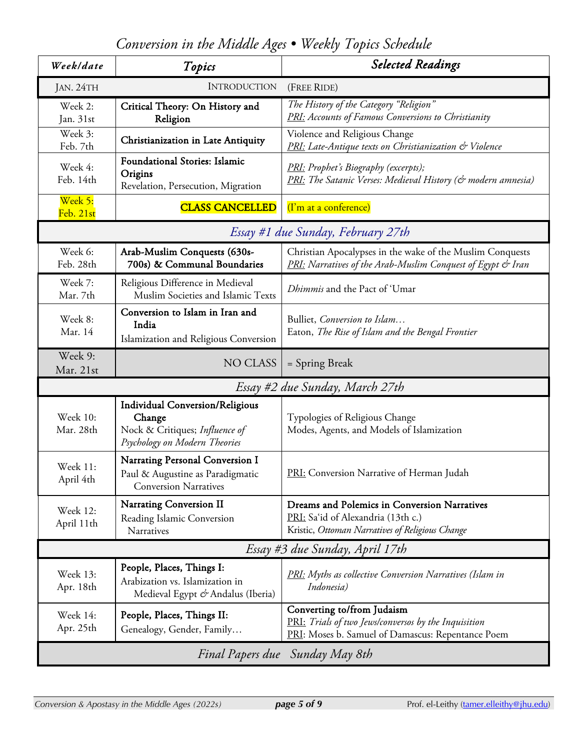*Conversion in the Middle Ages • Weekly Topics Schedule*

| Week/date                                       | Topics                                                                                                              | <b>Selected Readings</b>                                                                                                                |
|-------------------------------------------------|---------------------------------------------------------------------------------------------------------------------|-----------------------------------------------------------------------------------------------------------------------------------------|
| <b>INTRODUCTION</b><br>JAN. 24TH<br>(FREE RIDE) |                                                                                                                     |                                                                                                                                         |
| Week 2:<br>Jan. 31st                            | Critical Theory: On History and<br>Religion                                                                         | The History of the Category "Religion"<br><b>PRI:</b> Accounts of Famous Conversions to Christianity                                    |
| Week 3:<br>Feb. 7th                             | Christianization in Late Antiquity                                                                                  | Violence and Religious Change<br><b>PRI</b> : Late-Antique texts on Christianization & Violence                                         |
| Week 4:<br>Feb. 14th                            | <b>Foundational Stories: Islamic</b><br>Origins<br>Revelation, Persecution, Migration                               | PRI: Prophet's Biography (excerpts);<br><b>PRI:</b> The Satanic Verses: Medieval History (& modern amnesia)                             |
| Week 5:<br>Feb. 21st                            | <b>CLASS CANCELLED</b>                                                                                              | (I'm at a conference)                                                                                                                   |
| Essay #1 due Sunday, February 27th              |                                                                                                                     |                                                                                                                                         |
| Week 6:<br>Feb. 28th                            | Arab-Muslim Conquests (630s-<br>700s) & Communal Boundaries                                                         | Christian Apocalypses in the wake of the Muslim Conquests<br><b>PRI:</b> Narratives of the Arab-Muslim Conquest of Egypt & Iran         |
| Week 7:<br>Mar. 7th                             | Religious Difference in Medieval<br>Muslim Societies and Islamic Texts                                              | Dhimmis and the Pact of 'Umar                                                                                                           |
| Week 8:<br>Mar. 14                              | Conversion to Islam in Iran and<br>India<br>Islamization and Religious Conversion                                   | Bulliet, Conversion to Islam<br>Eaton, The Rise of Islam and the Bengal Frontier                                                        |
| Week 9:<br>Mar. 21st                            | <b>NO CLASS</b>                                                                                                     | = Spring Break                                                                                                                          |
| Essay #2 due Sunday, March 27th                 |                                                                                                                     |                                                                                                                                         |
| Week 10:<br>Mar. 28th                           | <b>Individual Conversion/Religious</b><br>Change<br>Nock & Critiques; Influence of<br>Psychology on Modern Theories | Typologies of Religious Change<br>Modes, Agents, and Models of Islamization                                                             |
| Week 11:<br>April 4th                           | Narrating Personal Conversion I<br>Paul & Augustine as Paradigmatic<br><b>Conversion Narratives</b>                 | <b>PRI:</b> Conversion Narrative of Herman Judah                                                                                        |
| <b>Week 12:</b><br>April 11th                   | Narrating Conversion II<br>Reading Islamic Conversion<br>Narratives                                                 | Dreams and Polemics in Conversion Narratives<br>PRI: Sa'id of Alexandria (13th c.)<br>Kristic, Ottoman Narratives of Religious Change   |
| Essay #3 due Sunday, April 17th                 |                                                                                                                     |                                                                                                                                         |
| Week 13:<br>Apr. 18th                           | People, Places, Things I:<br>Arabization vs. Islamization in<br>Medieval Egypt & Andalus (Iberia)                   | <b>PRI:</b> Myths as collective Conversion Narratives (Islam in<br>Indonesia)                                                           |
| Week 14:<br>Apr. 25th                           | People, Places, Things II:<br>Genealogy, Gender, Family                                                             | Converting to/from Judaism<br>PRI: Trials of two Jews/conversos by the Inquisition<br>PRI: Moses b. Samuel of Damascus: Repentance Poem |
| Final Papers due Sunday May 8th                 |                                                                                                                     |                                                                                                                                         |